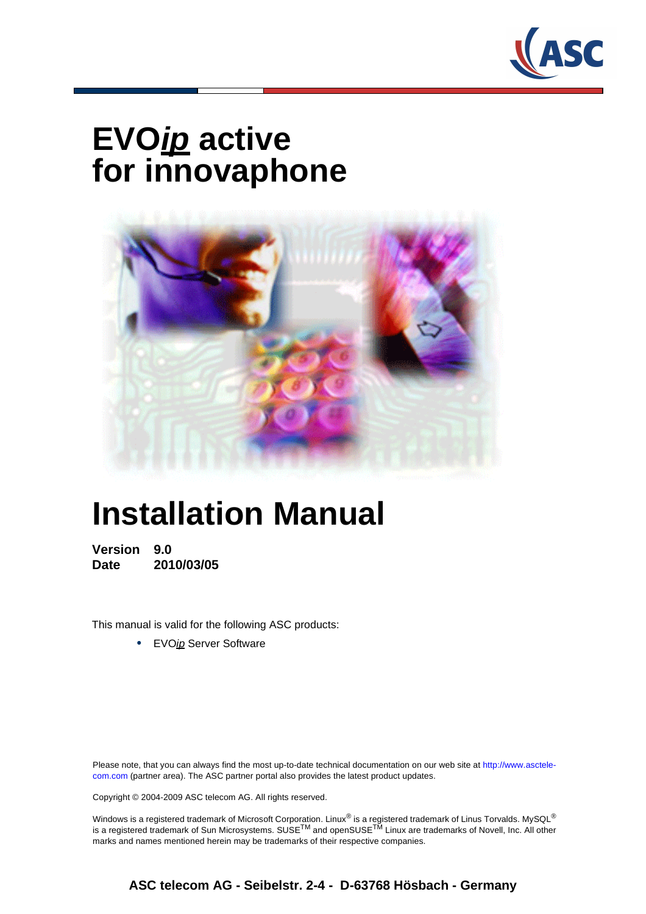

# **EVOip active for innovaphone**



# **Installation Manual**

**Version 9.0 Date 2010/03/05**

This manual is valid for the following ASC products:

**•** EVOip Server Software

Please note, that you can always find the most up-to-date technical documentation on our web site at http://www.asctelecom.com (partner area). The ASC partner portal also provides the latest product updates.

Copyright © 2004-2009 ASC telecom AG. All rights reserved.

Windows is a registered trademark of Microsoft Corporation. Linux<sup>®</sup> is a registered trademark of Linus Torvalds. MySQL<sup>®</sup> is a registered trademark of Sun Microsystems. SUSE<sup>TM</sup> and openSUSE<sup>TM</sup> Linux are trademarks of Novell, Inc. All other marks and names mentioned herein may be trademarks of their respective companies.

**ASC telecom AG - Seibelstr. 2-4 - D-63768 Hösbach - Germany**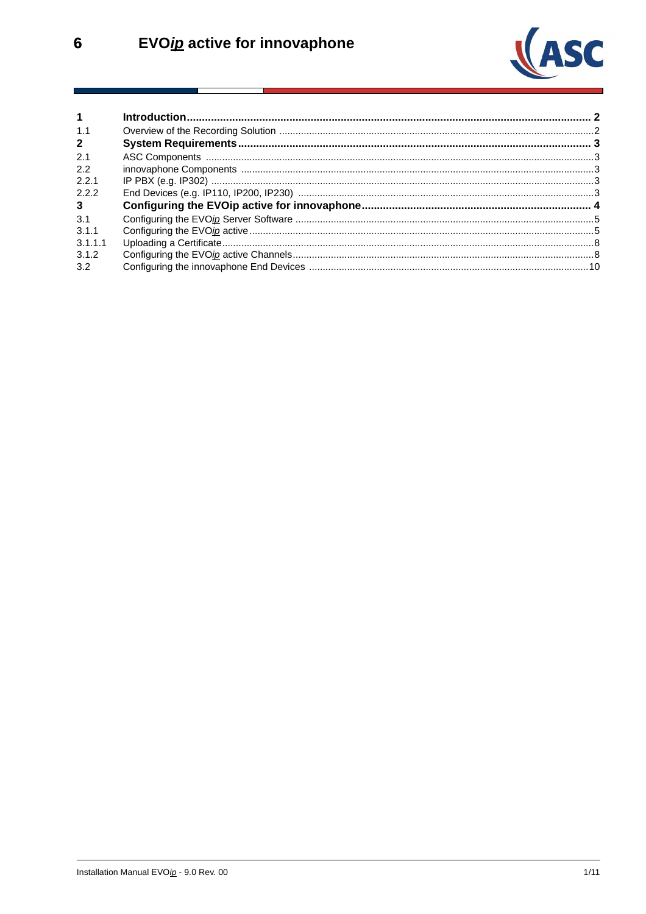

| $\mathbf 1$    |  |
|----------------|--|
| 1.1            |  |
| $\overline{2}$ |  |
| 2.1            |  |
| 2.2            |  |
| 2.2.1          |  |
| 2.2.2          |  |
| 3 <sup>7</sup> |  |
| 3.1            |  |
| 3.1.1          |  |
| 3.1.1.1        |  |
| 3.1.2          |  |
| 3.2            |  |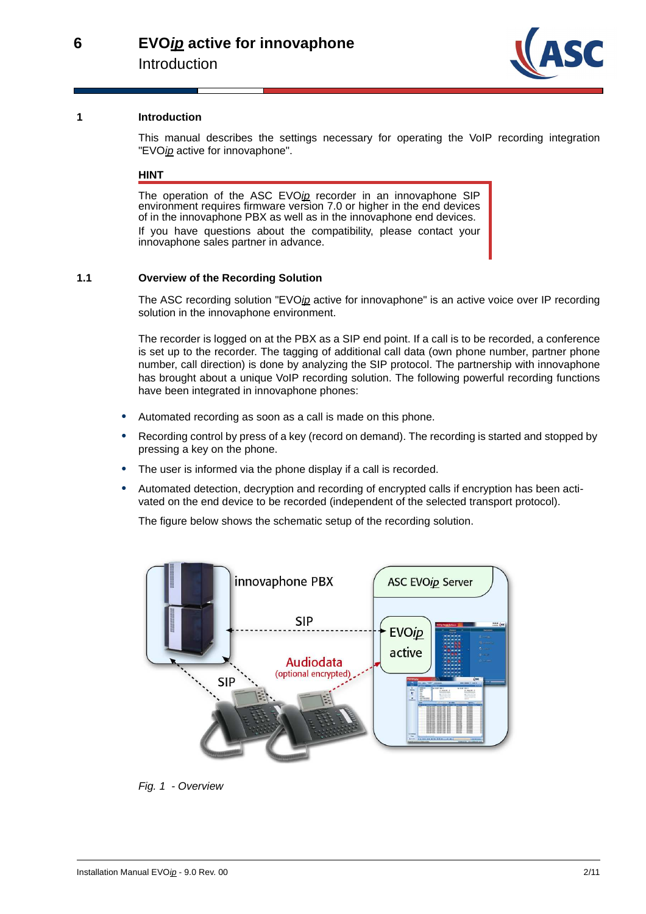

#### <span id="page-2-0"></span>**1 Introduction**

This manual describes the settings necessary for operating the VoIP recording integration "EVOip active for innovaphone".

#### **HINT**

The operation of the ASC EVOip recorder in an innovaphone SIP environment requires firmware version 7.0 or higher in the end devices of in the innovaphone PBX as well as in the innovaphone end devices. If you have questions about the compatibility, please contact your innovaphone sales partner in advance.

#### <span id="page-2-1"></span>**1.1 Overview of the Recording Solution**

The ASC recording solution "EVOip active for innovaphone" is an active voice over IP recording solution in the innovaphone environment.

The recorder is logged on at the PBX as a SIP end point. If a call is to be recorded, a conference is set up to the recorder. The tagging of additional call data (own phone number, partner phone number, call direction) is done by analyzing the SIP protocol. The partnership with innovaphone has brought about a unique VoIP recording solution. The following powerful recording functions have been integrated in innovaphone phones:

- **•** Automated recording as soon as a call is made on this phone.
- **•** Recording control by press of a key (record on demand). The recording is started and stopped by pressing a key on the phone.
- The user is informed via the phone display if a call is recorded.
- **•** Automated detection, decryption and recording of encrypted calls if encryption has been activated on the end device to be recorded (independent of the selected transport protocol).

The figure below shows the schematic setup of the recording solution.



Fig. 1 - Overview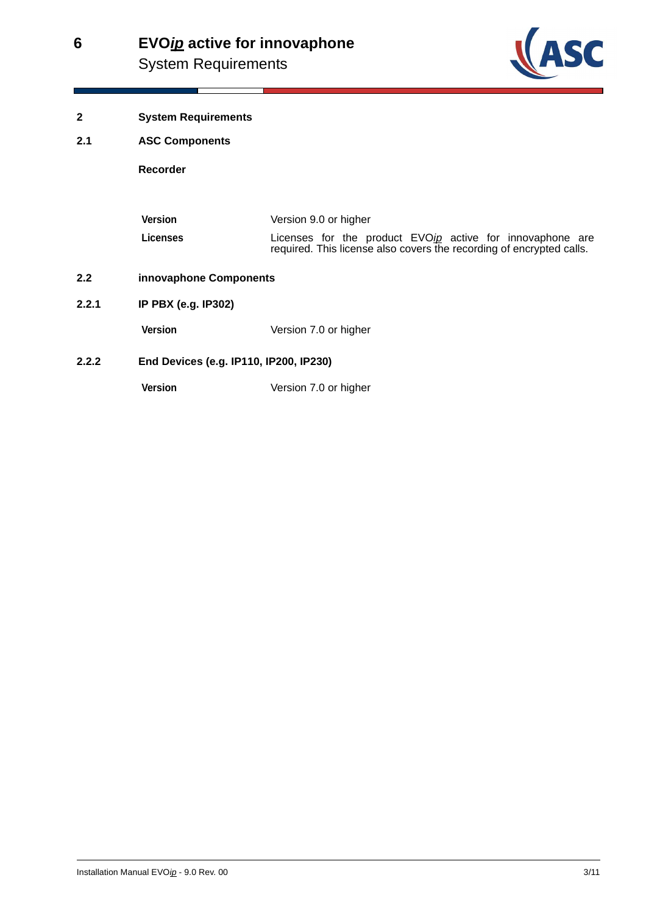## **EVOip active for innovaphone 6** System Requirements



- <span id="page-3-0"></span>**2 System Requirements**
- <span id="page-3-1"></span>**2.1 ASC Components**

**Recorder**

| Version  | Version 9.0 or higher                                                                                                             |  |  |  |  |  |
|----------|-----------------------------------------------------------------------------------------------------------------------------------|--|--|--|--|--|
| Licenses | Licenses for the product EVOip active for innovaphone are<br>required. This license also covers the recording of encrypted calls. |  |  |  |  |  |

- <span id="page-3-2"></span>**2.2 innovaphone Components**
- <span id="page-3-3"></span>**2.2.1 IP PBX (e.g. IP302)**

**Version** Version 7.0 or higher

<span id="page-3-4"></span>**2.2.2 End Devices (e.g. IP110, IP200, IP230)** 

**Version** Version 7.0 or higher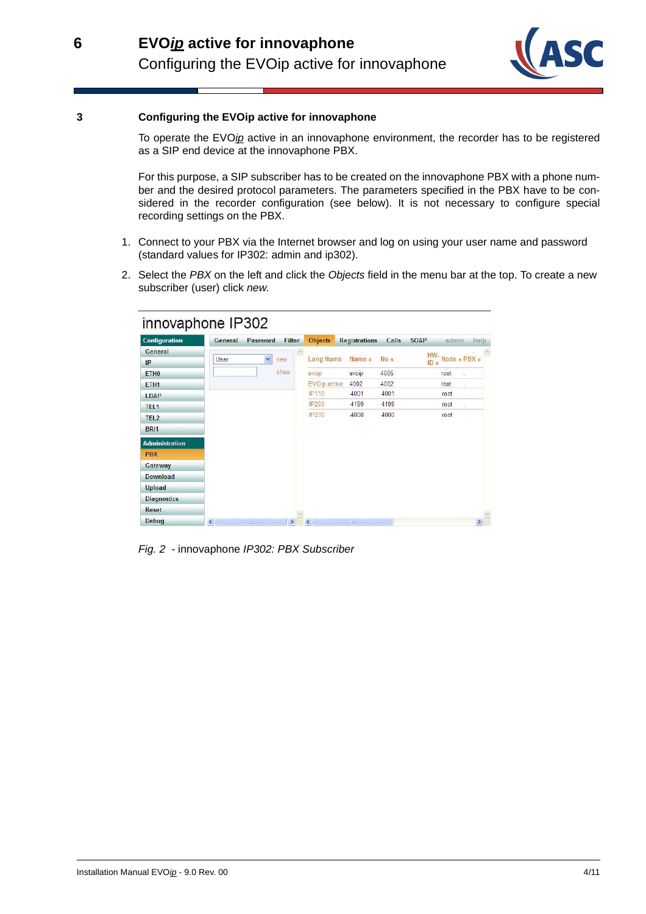

#### <span id="page-4-0"></span>**3 Configuring the EVOip active for innovaphone**

**6**

To operate the EVOip active in an innovaphone environment, the recorder has to be registered as a SIP end device at the innovaphone PBX.

For this purpose, a SIP subscriber has to be created on the innovaphone PBX with a phone number and the desired protocol parameters. The parameters specified in the PBX have to be considered in the recorder configuration (see below). It is not necessary to configure special recording settings on the PBX.

- 1. Connect to your PBX via the Internet browser and log on using your user name and password (standard values for IP302: admin and ip302).
- 2. Select the PBX on the left and click the Objects field in the menu bar at the top. To create a new subscriber (user) click new.



Fig. 2 - innovaphone IP302: PBX Subscriber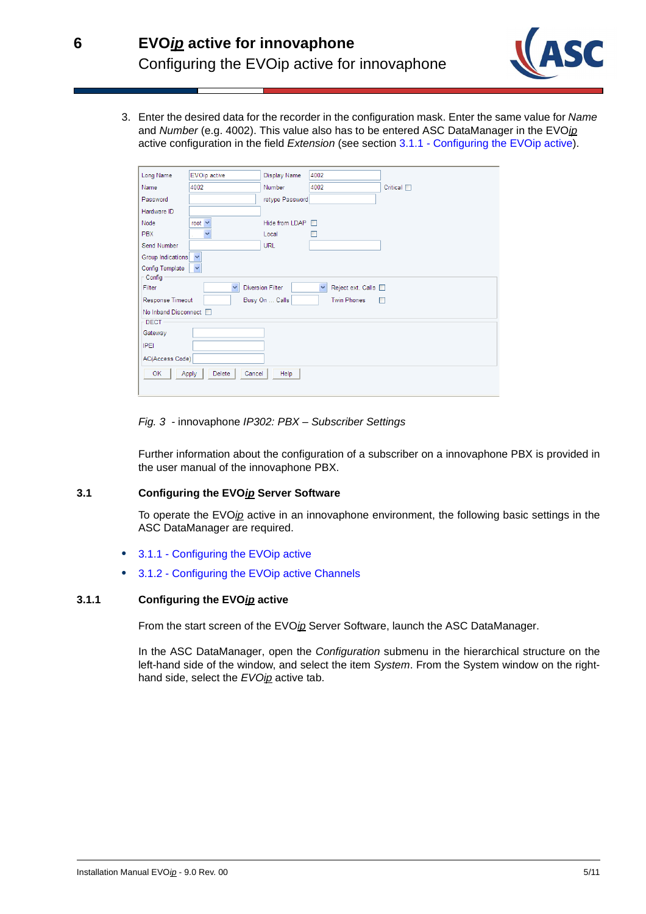

3. Enter the desired data for the recorder in the configuration mask. Enter the same value for Name and Number (e.g. 4002). This value also has to be entered ASC DataManager in the EVOip active configuration in the field Extension (see section [3.1.1 - Configuring the EVOip active](#page-5-1)).

| Long Name                                                     | EVOip active            | Display Name            | 4002                                |                           |  |
|---------------------------------------------------------------|-------------------------|-------------------------|-------------------------------------|---------------------------|--|
| Name                                                          | 4002                    | <b>Number</b>           | 4002                                | $Critical \ \blacksquare$ |  |
| Password                                                      |                         | retype Password         |                                     |                           |  |
| Hardware ID                                                   |                         |                         |                                     |                           |  |
| Node                                                          | root $\vee$             | Hide from LDAP          | $\Box$                              |                           |  |
| <b>PBX</b>                                                    | Y                       | Local                   |                                     |                           |  |
| Send Number                                                   |                         | <b>URL</b>              |                                     |                           |  |
| Group Indications                                             | $\checkmark$            |                         |                                     |                           |  |
| Config Template                                               | v                       |                         |                                     |                           |  |
| $\mathsf{\Gamma}$ Config                                      |                         |                         |                                     |                           |  |
| Filter                                                        | $\overline{\mathbf{v}}$ | <b>Diversion Filter</b> | $\checkmark$<br>Reject ext. Calls [ |                           |  |
| <b>Twin Phones</b><br>Response Timeout<br>Busy On  Calls<br>П |                         |                         |                                     |                           |  |
| No Inband Disconnect □                                        |                         |                         |                                     |                           |  |
| <b>DECT</b>                                                   |                         |                         |                                     |                           |  |
| Gateway                                                       |                         |                         |                                     |                           |  |
| <b>IPEI</b>                                                   |                         |                         |                                     |                           |  |
| AC(Access Code)                                               |                         |                         |                                     |                           |  |
| Help<br>OK<br>Delete<br>Apply<br>Cancel                       |                         |                         |                                     |                           |  |
|                                                               |                         |                         |                                     |                           |  |

Fig. 3 - innovaphone IP302: PBX – Subscriber Settings

Further information about the configuration of a subscriber on a innovaphone PBX is provided in the user manual of the innovaphone PBX.

#### <span id="page-5-0"></span>**3.1 Configuring the EVOip Server Software**

To operate the EVOip active in an innovaphone environment, the following basic settings in the ASC DataManager are required.

- **•** [3.1.1 Configuring the EVOip active](#page-5-1)
- **•** [3.1.2 Configuring the EVOip active Channels](#page-8-1)

# <span id="page-5-1"></span>**3.1.1 Configuring the EVOip active**

From the start screen of the EVOip Server Software, launch the ASC DataManager.

In the ASC DataManager, open the Configuration submenu in the hierarchical structure on the left-hand side of the window, and select the item System. From the System window on the righthand side, select the EVOip active tab.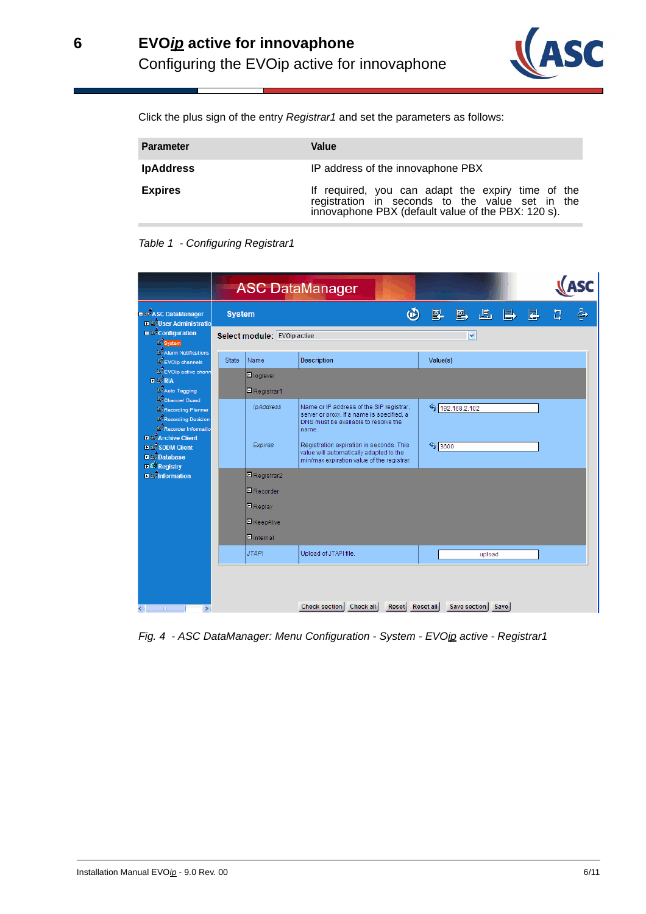

Click the plus sign of the entry Registrar1 and set the parameters as follows:

| <b>Parameter</b> | Value                                                                                                                                                      |  |  |  |  |
|------------------|------------------------------------------------------------------------------------------------------------------------------------------------------------|--|--|--|--|
| <b>IpAddress</b> | IP address of the innovaphone PBX                                                                                                                          |  |  |  |  |
| <b>Expires</b>   | If required, you can adapt the expiry time of the<br>registration in seconds to the value set in the<br>innovaphone PBX (default value of the PBX: 120 s). |  |  |  |  |





Fig. 4 - ASC DataManager: Menu Configuration - System - EVOip active - Registrar1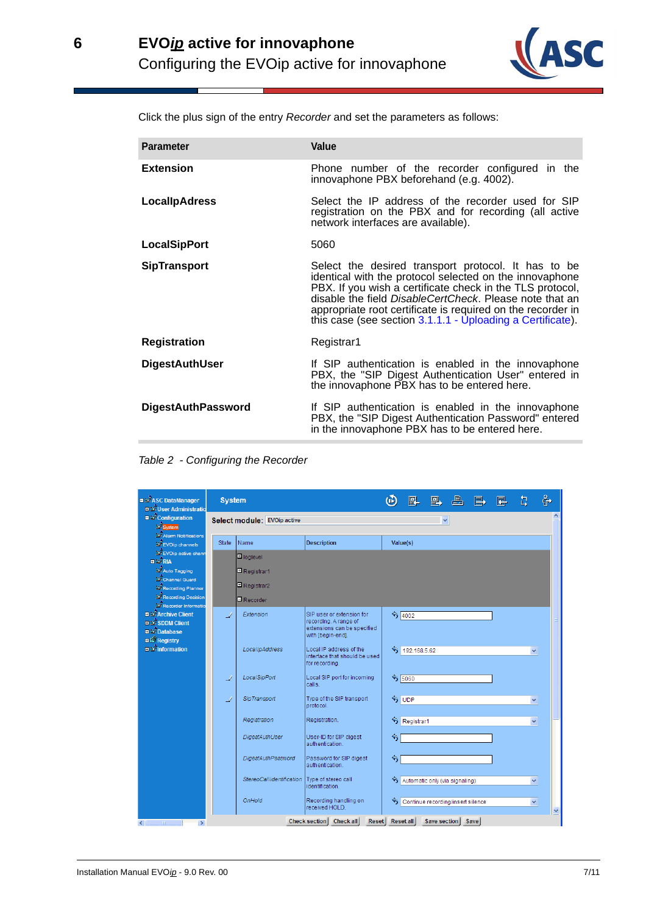

Click the plus sign of the entry Recorder and set the parameters as follows:

| <b>Parameter</b>          | Value                                                                                                                                                                                                                                                                                                                                                               |  |  |  |  |
|---------------------------|---------------------------------------------------------------------------------------------------------------------------------------------------------------------------------------------------------------------------------------------------------------------------------------------------------------------------------------------------------------------|--|--|--|--|
| <b>Extension</b>          | Phone number of the recorder configured in the<br>innovaphone PBX beforehand (e.g. 4002).                                                                                                                                                                                                                                                                           |  |  |  |  |
| <b>LocallpAdress</b>      | Select the IP address of the recorder used for SIP<br>registration on the PBX and for recording (all active<br>network interfaces are available).                                                                                                                                                                                                                   |  |  |  |  |
| <b>LocalSipPort</b>       | 5060                                                                                                                                                                                                                                                                                                                                                                |  |  |  |  |
| <b>SipTransport</b>       | Select the desired transport protocol. It has to be<br>identical with the protocol selected on the innovaphone<br>PBX. If you wish a certificate check in the TLS protocol,<br>disable the field DisableCertCheck. Please note that an<br>appropriate root certificate is required on the recorder in<br>this case (see section 3.1.1.1 - Uploading a Certificate). |  |  |  |  |
| <b>Registration</b>       | Registrar1                                                                                                                                                                                                                                                                                                                                                          |  |  |  |  |
| <b>DigestAuthUser</b>     | If SIP authentication is enabled in the innovaphone<br>PBX, the "SIP Digest Authentication User" entered in<br>the innovaphone PBX has to be entered here.                                                                                                                                                                                                          |  |  |  |  |
| <b>DigestAuthPassword</b> | If SIP authentication is enabled in the innovaphone<br>PBX, the "SIP Digest Authentication Password" entered<br>in the innovaphone PBX has to be entered here.                                                                                                                                                                                                      |  |  |  |  |
|                           |                                                                                                                                                                                                                                                                                                                                                                     |  |  |  |  |

Table 2 - Configuring the Recorder

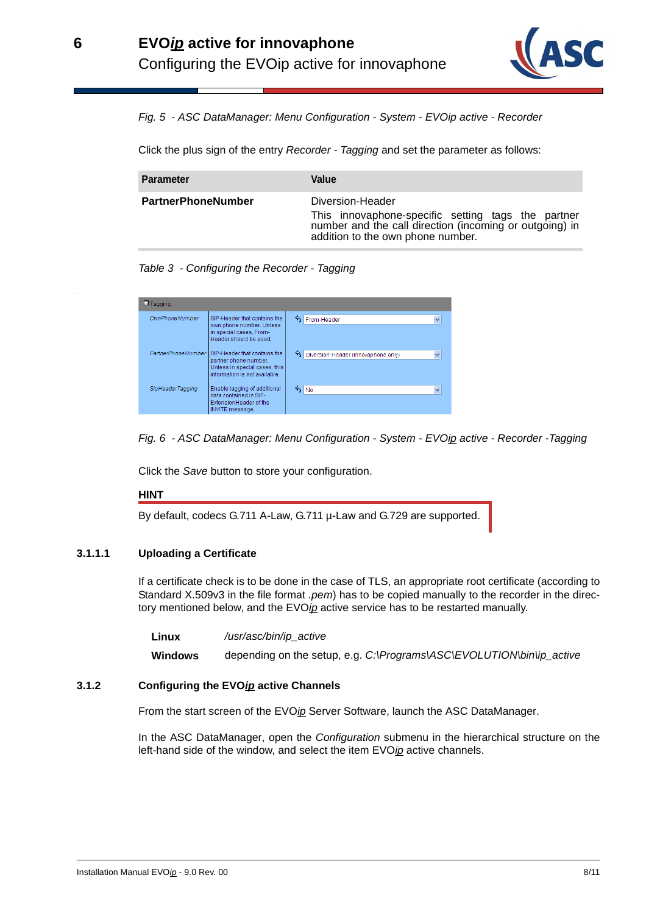

Fig. 5 - ASC DataManager: Menu Configuration - System - EVOip active - Recorder

Click the plus sign of the entry Recorder - Tagging and set the parameter as follows:

| <b>Parameter</b>          | Value                                                                                                                                                                  |
|---------------------------|------------------------------------------------------------------------------------------------------------------------------------------------------------------------|
| <b>PartnerPhoneNumber</b> | Diversion-Header<br>This innovaphone-specific setting tags the partner<br>number and the call direction (incoming or outgoing) in<br>addition to the own phone number. |

Table 3 - Configuring the Recorder - Tagging

| <b>El Tagging</b>     |                                                                                                                         |                                                     |
|-----------------------|-------------------------------------------------------------------------------------------------------------------------|-----------------------------------------------------|
| <b>OwnPhoneNumber</b> | SIP-Header that contains the<br>own phone number. Unless<br>in special cases. From-<br>Header should be used.           | From-Header<br>$\checkmark$                         |
| PartnerPhoneNumber    | SIP-Header that contains the<br>partner phone number.<br>Unless in special cases, this<br>information is not available. | Diversion-Header (Innovaphone only)<br>$\checkmark$ |
| SipHeaderTagging      | Enable tagging of additional<br>data contained in SIP-<br>ExtensionHeader of the<br><b>INVITE</b> message.              | $\gamma_{\text{No}}$<br>$\checkmark$                |

Fig. 6 - ASC DataManager: Menu Configuration - System - EVOip active - Recorder - Tagging

Click the Save button to store your configuration.

#### **HINT**

By default, codecs G.711 A-Law, G.711 µ-Law and G.729 are supported.

## <span id="page-8-0"></span>**3.1.1.1 Uploading a Certificate**

If a certificate check is to be done in the case of TLS, an appropriate root certificate (according to Standard X.509v3 in the file format .pem) has to be copied manually to the recorder in the directory mentioned below, and the EVOip active service has to be restarted manually.

Linux /usr/asc/bin/ip active

**Windows** depending on the setup, e.g. C:\Programs\ASC\EVOLUTION\bin\ip\_active

#### <span id="page-8-1"></span>**3.1.2 Configuring the EVOip active Channels**

From the start screen of the EVOip Server Software, launch the ASC DataManager.

In the ASC DataManager, open the Configuration submenu in the hierarchical structure on the left-hand side of the window, and select the item EVOip active channels.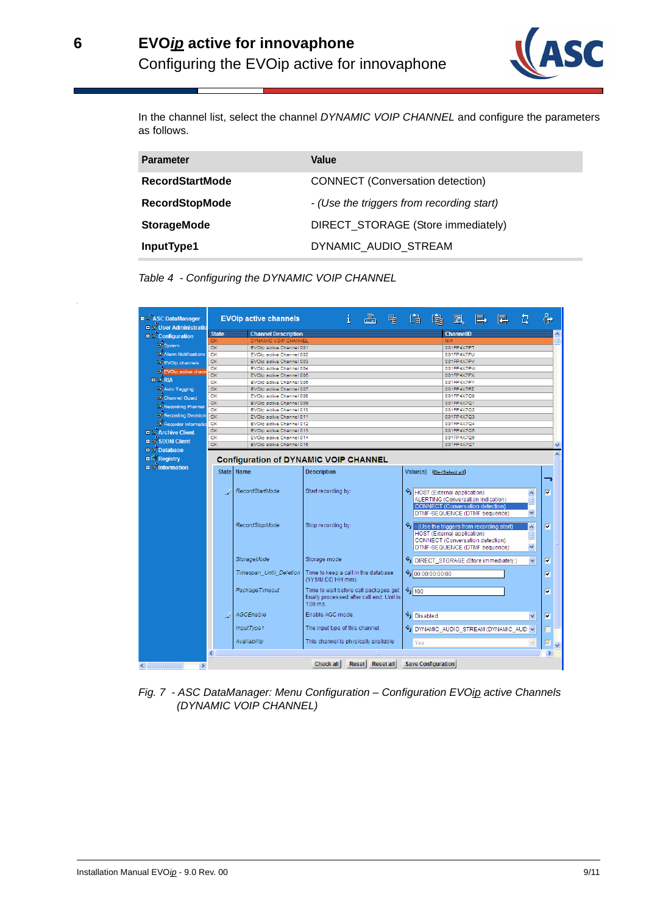

In the channel list, select the channel DYNAMIC VOIP CHANNEL and configure the parameters as follows.

| <b>Parameter</b>       | Value                                     |
|------------------------|-------------------------------------------|
| <b>RecordStartMode</b> | <b>CONNECT</b> (Conversation detection)   |
| <b>RecordStopMode</b>  | - (Use the triggers from recording start) |
| <b>StorageMode</b>     | DIRECT_STORAGE (Store immediately)        |
| InputType1             | DYNAMIC AUDIO STREAM                      |

Table 4 - Configuring the DYNAMIC VOIP CHANNEL



Fig. 7 - ASC DataManager: Menu Configuration – Configuration EVOip active Channels (DYNAMIC VOIP CHANNEL)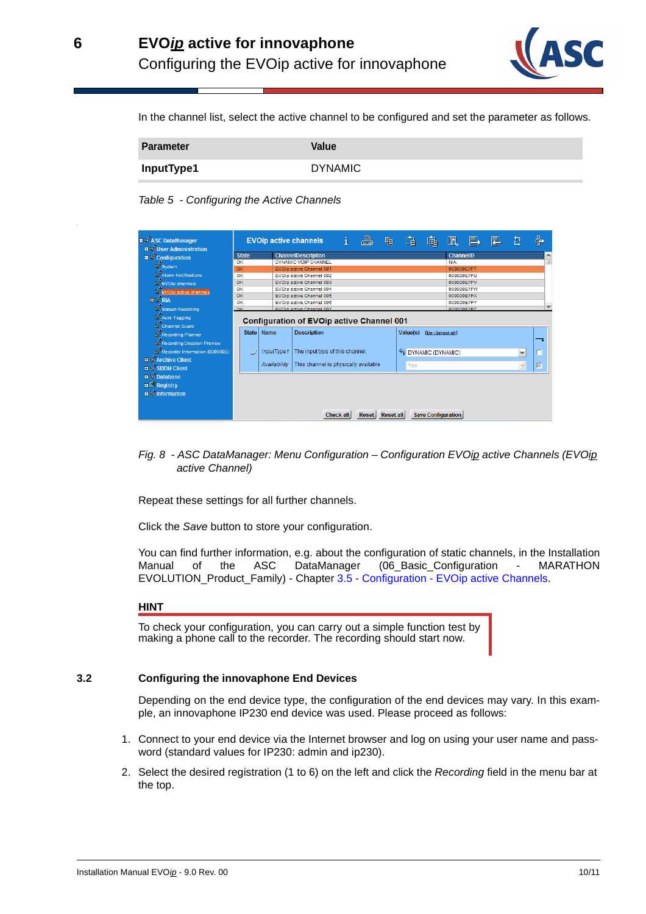

In the channel list, select the active channel to be configured and set the parameter as follows.

| Parameter  | Value          |
|------------|----------------|
| InputType1 | <b>DYNAMIC</b> |

Table 5 - Configuring the Active Channels



Fig. 8 - ASC DataManager: Menu Configuration – Configuration EVOip active Channels (EVOip active Channel)

Repeat these settings for all further channels.

Click the Save button to store your configuration.

You can find further information, e.g. about the configuration of static channels, in the Installation Manual of the ASC DataManager (06\_Basic\_Configuration - MARATHON EVOLUTION\_Product\_Family) - Chapter 3.5 - Configuration - EVOip active Channels.

#### **HINT**

To check your configuration, you can carry out a simple function test by making a phone call to the recorder. The recording should start now.

#### <span id="page-10-0"></span>**3.2 Configuring the innovaphone End Devices**

Depending on the end device type, the configuration of the end devices may vary. In this example, an innovaphone IP230 end device was used. Please proceed as follows:

- 1. Connect to your end device via the Internet browser and log on using your user name and password (standard values for IP230: admin and ip230).
- 2. Select the desired registration (1 to 6) on the left and click the Recording field in the menu bar at the top.